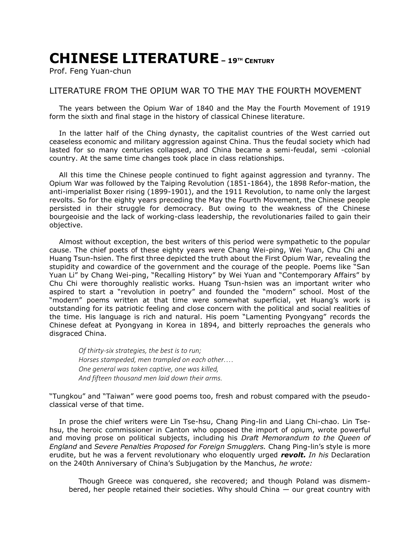## **CHINESE LITERATURE – <sup>19</sup>TH <sup>C</sup>ENTURY**

Prof. Feng Yuan-chun

## LITERATURE FROM THE OPIUM WAR TO THE MAY THE FOURTH MOVEMENT

The years between the Opium War of 1840 and the May the Fourth Movement of 1919 form the sixth and final stage in the history of classical Chinese literature.

In the latter half of the Ching dynasty, the capitalist countries of the West carried out ceaseless economic and military aggression against China. Thus the feudal society which had lasted for so many centuries collapsed, and China became a semi-feudal, semi -colonial country. At the same time changes took place in class relationships.

All this time the Chinese people continued to fight against aggression and tyranny. The Opium War was followed by the Taiping Revolution (1851-1864), the 1898 Refor-mation, the anti-imperialist Boxer rising (1899-1901), and the 1911 Revolution, to name only the largest revolts. So for the eighty years preceding the May the Fourth Movement, the Chinese people persisted in their struggle for democracy. But owing to the weakness of the Chinese bourgeoisie and the lack of working-class leadership, the revolutionaries failed to gain their objective.

Almost without exception, the best writers of this period were sympathetic to the popular cause. The chief poets of these eighty years were Chang Wei-ping, Wei Yuan, Chu Chi and Huang Tsun-hsien. The first three depicted the truth about the First Opium War, revealing the stupidity and cowardice of the government and the courage of the people. Poems like "San Yuan Li" by Chang Wei-ping, "Recalling History" by Wei Yuan and "Contemporary Affairs" by Chu Chi were thoroughly realistic works. Huang Tsun-hsien was an important writer who aspired to start a "revolution in poetry" and founded the "modern" school. Most of the "modern" poems written at that time were somewhat superficial, yet Huang's work is outstanding for its patriotic feeling and close concern with the political and social realities of the time. His language is rich and natural. His poem "Lamenting Pyongyang" records the Chinese defeat at Pyongyang in Korea in 1894, and bitterly reproaches the generals who disgraced China.

*Of thirty-six strategies, the best is to run; Horses stampeded, men trampled on each other.... One general was taken captive, one was killed, And fifteen thousand men laid down their arms.*

"Tungkou" and "Taiwan" were good poems too, fresh and robust compared with the pseudoclassical verse of that time.

In prose the chief writers were Lin Tse-hsu, Chang Ping-lin and Liang Chi-chao. Lin Tsehsu, the heroic commissioner in Canton who opposed the import of opium, wrote powerful and moving prose on political subjects, including his *Draft Memorandum to the Queen of England* and *Severe Penalties Proposed for Foreign Smugglers.* Chang Ping-lin's style is more erudite, but he was a fervent revolutionary who eloquently urged *revolt. In his* Declaration on the 240th Anniversary of China's Subjugation by the Manchus, *he wrote:*

Though Greece was conquered, she recovered; and though Poland was dismembered, her people retained their societies. Why should China  $-$  our great country with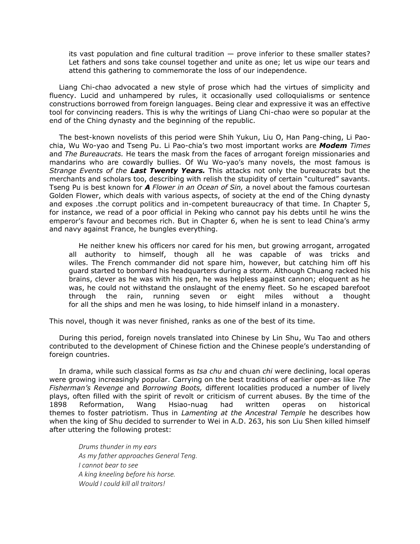its vast population and fine cultural tradition — prove inferior to these smaller states? Let fathers and sons take counsel together and unite as one; let us wipe our tears and attend this gathering to commemorate the loss of our independence.

Liang Chi-chao advocated a new style of prose which had the virtues of simplicity and fluency. Lucid and unhampered by rules, it occasionally used colloquialisms or sentence constructions borrowed from foreign languages. Being clear and expressive it was an effective tool for convincing readers. This is why the writings of Liang Chi-chao were so popular at the end of the Ching dynasty and the beginning of the republic.

The best-known novelists of this period were Shih Yukun, Liu O, Han Pang-ching, Li Paochia, Wu Wo-yao and Tseng Pu. Li Pao-chia's two most important works are *Modem Times* and *The Bureaucrats.* He tears the mask from the faces of arrogant foreign missionaries and mandarins who are cowardly bullies. Of Wu Wo-yao's many novels, the most famous is *Strange Events of the Last Twenty Years.* This attacks not only the bureaucrats but the merchants and scholars too, describing with relish the stupidity of certain "cultured" savants. Tseng Pu is best known for *A Flower in an Ocean of Sin,* a novel about the famous courtesan Golden Flower, which deals with various aspects, of society at the end of the Ching dynasty and exposes .the corrupt politics and in-competent bureaucracy of that time. In Chapter 5, for instance, we read of a poor official in Peking who cannot pay his debts until he wins the emperor's favour and becomes rich. But in Chapter 6, when he is sent to lead China's army and navy against France, he bungles everything.

He neither knew his officers nor cared for his men, but growing arrogant, arrogated all authority to himself, though all he was capable of was tricks and wiles. The French commander did not spare him, however, but catching him off his guard started to bombard his headquarters during a storm. Although Chuang racked his brains, clever as he was with his pen, he was helpless against cannon; eloquent as he was, he could not withstand the onslaught of the enemy fleet. So he escaped barefoot through the rain, running seven or eight miles without a thought for all the ships and men he was losing, to hide himself inland in a monastery.

This novel, though it was never finished, ranks as one of the best of its time.

During this period, foreign novels translated into Chinese by Lin Shu, Wu Tao and others contributed to the development of Chinese fiction and the Chinese people's understanding of foreign countries.

In drama, while such classical forms as *tsa chu* and chuan *chi* were declining, local operas were growing increasingly popular. Carrying on the best traditions of earlier oper-as like *The Fisherman's Revenge* and *Borrowing Boots,* different localities produced a number of lively plays, often filled with the spirit of revolt or criticism of current abuses. By the time of the 1898 Reformation, Wang Hsiao-nuag had written operas on historical themes to foster patriotism. Thus in *Lamenting at the Ancestral Temple* he describes how when the king of Shu decided to surrender to Wei in A.D. 263, his son Liu Shen killed himself after uttering the following protest:

*Drums thunder in my ears As my father approaches General Teng. I cannot bear to see A king kneeling before his horse. Would I could kill all traitors!*